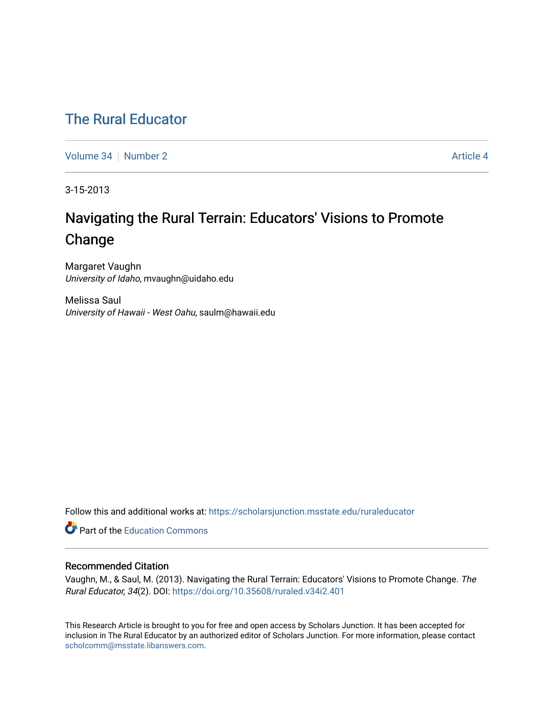## [The Rural Educator](https://scholarsjunction.msstate.edu/ruraleducator)

[Volume 34](https://scholarsjunction.msstate.edu/ruraleducator/vol34) | [Number 2](https://scholarsjunction.msstate.edu/ruraleducator/vol34/iss2) Article 4

3-15-2013

# Navigating the Rural Terrain: Educators' Visions to Promote Change

Margaret Vaughn University of Idaho, mvaughn@uidaho.edu

Melissa Saul University of Hawaii - West Oahu, saulm@hawaii.edu

Follow this and additional works at: [https://scholarsjunction.msstate.edu/ruraleducator](https://scholarsjunction.msstate.edu/ruraleducator?utm_source=scholarsjunction.msstate.edu%2Fruraleducator%2Fvol34%2Fiss2%2F4&utm_medium=PDF&utm_campaign=PDFCoverPages)

**C** Part of the [Education Commons](http://network.bepress.com/hgg/discipline/784?utm_source=scholarsjunction.msstate.edu%2Fruraleducator%2Fvol34%2Fiss2%2F4&utm_medium=PDF&utm_campaign=PDFCoverPages)

### Recommended Citation

Vaughn, M., & Saul, M. (2013). Navigating the Rural Terrain: Educators' Visions to Promote Change. The Rural Educator, 34(2). DOI: <https://doi.org/10.35608/ruraled.v34i2.401>

This Research Article is brought to you for free and open access by Scholars Junction. It has been accepted for inclusion in The Rural Educator by an authorized editor of Scholars Junction. For more information, please contact [scholcomm@msstate.libanswers.com.](mailto:scholcomm@msstate.libanswers.com)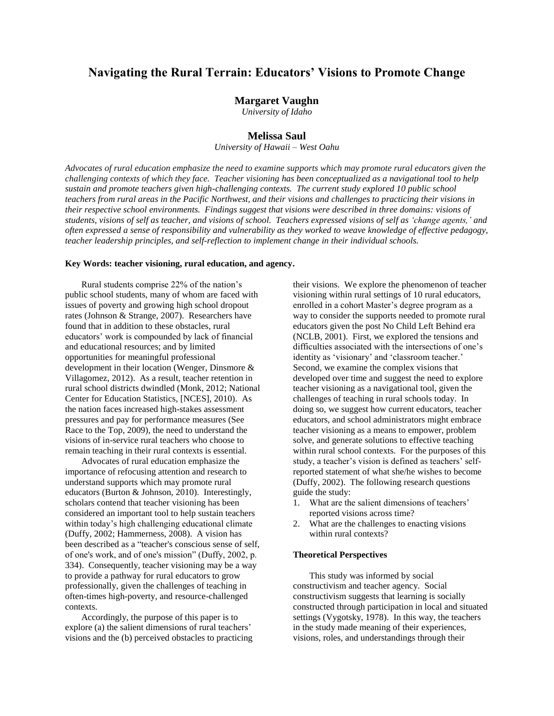## **Navigating the Rural Terrain: Educators' Visions to Promote Change**

#### **Margaret Vaughn**

*University of Idaho*

#### **Melissa Saul**

*University of Hawaii – West Oahu*

*Advocates of rural education emphasize the need to examine supports which may promote rural educators given the challenging contexts of which they face. Teacher visioning has been conceptualized as a navigational tool to help sustain and promote teachers given high-challenging contexts. The current study explored 10 public school teachers from rural areas in the Pacific Northwest, and their visions and challenges to practicing their visions in their respective school environments. Findings suggest that visions were described in three domains: visions of* students, visions of self as teacher, and visions of school. Teachers expressed visions of self as 'change agents,' and often expressed a sense of responsibility and vulnerability as they worked to weave knowledge of effective pedagogy, *teacher leadership principles, and self-reflection to implement change in their individual schools.* 

#### **Key Words: teacher visioning, rural education, and agency.**

Rural students comprise 22% of the nation's public school students, many of whom are faced with issues of poverty and growing high school dropout rates (Johnson & Strange, 2007). Researchers have found that in addition to these obstacles, rural educators' work is compounded by lack of financial and educational resources; and by limited opportunities for meaningful professional development in their location (Wenger, Dinsmore & Villagomez, 2012). As a result, teacher retention in rural school districts dwindled (Monk, 2012; National Center for Education Statistics, [NCES], 2010). As the nation faces increased high-stakes assessment pressures and pay for performance measures (See Race to the Top, 2009), the need to understand the visions of in-service rural teachers who choose to remain teaching in their rural contexts is essential.

Advocates of rural education emphasize the importance of refocusing attention and research to understand supports which may promote rural educators (Burton & Johnson, 2010). Interestingly, scholars contend that teacher visioning has been considered an important tool to help sustain teachers within today's high challenging educational climate (Duffy, 2002; Hammerness, 2008). A vision has been described as a "teacher's conscious sense of self, of one's work, and of one's mission" (Duffy, 2002, p. 334). Consequently, teacher visioning may be a way to provide a pathway for rural educators to grow professionally, given the challenges of teaching in often-times high-poverty, and resource-challenged contexts.

Accordingly, the purpose of this paper is to explore (a) the salient dimensions of rural teachers' visions and the (b) perceived obstacles to practicing their visions. We explore the phenomenon of teacher visioning within rural settings of 10 rural educators, enrolled in a cohort Master's degree program as a way to consider the supports needed to promote rural educators given the post No Child Left Behind era (NCLB, 2001). First, we explored the tensions and difficulties associated with the intersections of one's identity as 'visionary' and 'classroom teacher.' Second, we examine the complex visions that developed over time and suggest the need to explore teacher visioning as a navigational tool, given the challenges of teaching in rural schools today. In doing so, we suggest how current educators, teacher educators, and school administrators might embrace teacher visioning as a means to empower, problem solve, and generate solutions to effective teaching within rural school contexts. For the purposes of this study, a teacher's vision is defined as teachers' selfreported statement of what she/he wishes to become (Duffy, 2002). The following research questions guide the study:

- 1. What are the salient dimensions of teachers' reported visions across time?
- 2. What are the challenges to enacting visions within rural contexts?

#### **Theoretical Perspectives**

This study was informed by social constructivism and teacher agency. Social constructivism suggests that learning is socially constructed through participation in local and situated settings (Vygotsky, 1978). In this way, the teachers in the study made meaning of their experiences, visions, roles, and understandings through their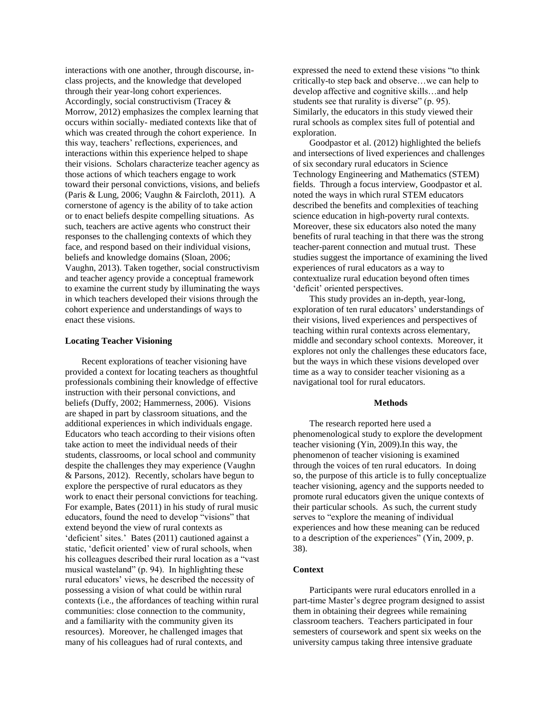interactions with one another, through discourse, inclass projects, and the knowledge that developed through their year-long cohort experiences. Accordingly, social constructivism (Tracey & Morrow, 2012) emphasizes the complex learning that occurs within socially- mediated contexts like that of which was created through the cohort experience. In this way, teachers' reflections, experiences, and interactions within this experience helped to shape their visions. Scholars characterize teacher agency as those actions of which teachers engage to work toward their personal convictions, visions, and beliefs (Paris & Lung, 2006; Vaughn & Faircloth, 2011). A cornerstone of agency is the ability of to take action or to enact beliefs despite compelling situations. As such, teachers are active agents who construct their responses to the challenging contexts of which they face, and respond based on their individual visions, beliefs and knowledge domains (Sloan, 2006; Vaughn, 2013). Taken together, social constructivism and teacher agency provide a conceptual framework to examine the current study by illuminating the ways in which teachers developed their visions through the cohort experience and understandings of ways to enact these visions.

#### **Locating Teacher Visioning**

Recent explorations of teacher visioning have provided a context for locating teachers as thoughtful professionals combining their knowledge of effective instruction with their personal convictions, and beliefs (Duffy, 2002; Hammerness, 2006). Visions are shaped in part by classroom situations, and the additional experiences in which individuals engage. Educators who teach according to their visions often take action to meet the individual needs of their students, classrooms, or local school and community despite the challenges they may experience (Vaughn & Parsons, 2012). Recently, scholars have begun to explore the perspective of rural educators as they work to enact their personal convictions for teaching. For example, Bates (2011) in his study of rural music educators, found the need to develop "visions" that extend beyond the view of rural contexts as 'deficient' sites.' Bates (2011) cautioned against a static, 'deficit oriented' view of rural schools, when his colleagues described their rural location as a "vast musical wasteland" (p. 94). In highlighting these rural educators' views, he described the necessity of possessing a vision of what could be within rural contexts (i.e., the affordances of teaching within rural communities: close connection to the community, and a familiarity with the community given its resources). Moreover, he challenged images that many of his colleagues had of rural contexts, and

expressed the need to extend these visions "to think critically-to step back and observe…we can help to develop affective and cognitive skills…and help students see that rurality is diverse" (p. 95). Similarly, the educators in this study viewed their rural schools as complex sites full of potential and exploration.

Goodpastor et al. (2012) highlighted the beliefs and intersections of lived experiences and challenges of six secondary rural educators in Science Technology Engineering and Mathematics (STEM) fields. Through a focus interview, Goodpastor et al. noted the ways in which rural STEM educators described the benefits and complexities of teaching science education in high-poverty rural contexts. Moreover, these six educators also noted the many benefits of rural teaching in that there was the strong teacher-parent connection and mutual trust. These studies suggest the importance of examining the lived experiences of rural educators as a way to contextualize rural education beyond often times 'deficit' oriented perspectives.

This study provides an in-depth, year-long, exploration of ten rural educators' understandings of their visions, lived experiences and perspectives of teaching within rural contexts across elementary, middle and secondary school contexts. Moreover, it explores not only the challenges these educators face, but the ways in which these visions developed over time as a way to consider teacher visioning as a navigational tool for rural educators.

#### **Methods**

The research reported here used a phenomenological study to explore the development teacher visioning (Yin, 2009).In this way, the phenomenon of teacher visioning is examined through the voices of ten rural educators. In doing so, the purpose of this article is to fully conceptualize teacher visioning, agency and the supports needed to promote rural educators given the unique contexts of their particular schools. As such, the current study serves to "explore the meaning of individual experiences and how these meaning can be reduced to a description of the experiences" (Yin, 2009, p. 38).

#### **Context**

Participants were rural educators enrolled in a part-time Master's degree program designed to assist them in obtaining their degrees while remaining classroom teachers. Teachers participated in four semesters of coursework and spent six weeks on the university campus taking three intensive graduate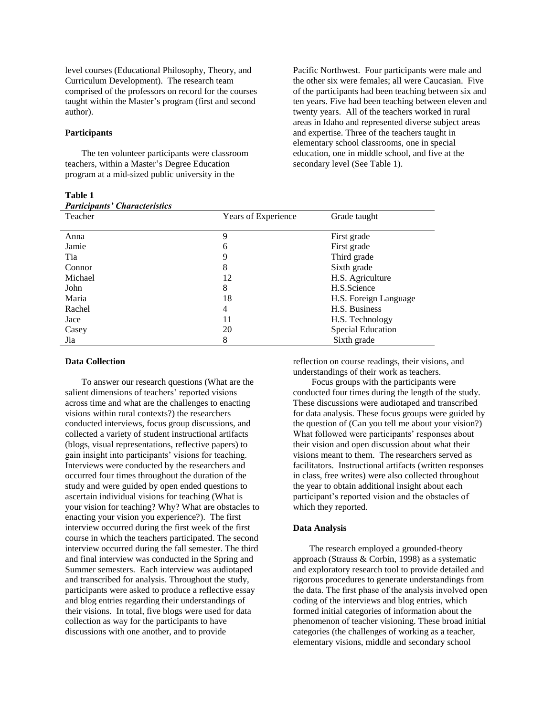level courses (Educational Philosophy, Theory, and Curriculum Development). The research team comprised of the professors on record for the courses taught within the Master's program (first and second author).

#### **Participants**

The ten volunteer participants were classroom teachers, within a Master's Degree Education program at a mid-sized public university in the

**Table 1** *Participants' Characteristics*

Pacific Northwest. Four participants were male and the other six were females; all were Caucasian. Five of the participants had been teaching between six and ten years. Five had been teaching between eleven and twenty years. All of the teachers worked in rural areas in Idaho and represented diverse subject areas and expertise. Three of the teachers taught in elementary school classrooms, one in special education, one in middle school, and five at the secondary level (See Table 1).

| Participants Characteristics |                     |                          |
|------------------------------|---------------------|--------------------------|
| Teacher                      | Years of Experience | Grade taught             |
|                              |                     |                          |
| Anna                         | 9                   | First grade              |
| Jamie                        | 6                   | First grade              |
| Tia                          | 9                   | Third grade              |
| Connor                       | 8                   | Sixth grade              |
| Michael                      | 12                  | H.S. Agriculture         |
| John                         | 8                   | H.S.Science              |
| Maria                        | 18                  | H.S. Foreign Language    |
| Rachel                       | 4                   | H.S. Business            |
| Jace                         | 11                  | H.S. Technology          |
| Casey                        | 20                  | <b>Special Education</b> |
| Jia                          | 8                   | Sixth grade              |
|                              |                     |                          |

#### **Data Collection**

To answer our research questions (What are the salient dimensions of teachers' reported visions across time and what are the challenges to enacting visions within rural contexts?) the researchers conducted interviews, focus group discussions, and collected a variety of student instructional artifacts (blogs, visual representations, reflective papers) to gain insight into participants' visions for teaching. Interviews were conducted by the researchers and occurred four times throughout the duration of the study and were guided by open ended questions to ascertain individual visions for teaching (What is your vision for teaching? Why? What are obstacles to enacting your vision you experience?). The first interview occurred during the first week of the first course in which the teachers participated. The second interview occurred during the fall semester. The third and final interview was conducted in the Spring and Summer semesters. Each interview was audiotaped and transcribed for analysis. Throughout the study, participants were asked to produce a reflective essay and blog entries regarding their understandings of their visions. In total, five blogs were used for data collection as way for the participants to have discussions with one another, and to provide

reflection on course readings, their visions, and understandings of their work as teachers.

Focus groups with the participants were conducted four times during the length of the study. These discussions were audiotaped and transcribed for data analysis. These focus groups were guided by the question of (Can you tell me about your vision?) What followed were participants' responses about their vision and open discussion about what their visions meant to them. The researchers served as facilitators. Instructional artifacts (written responses in class, free writes) were also collected throughout the year to obtain additional insight about each participant's reported vision and the obstacles of which they reported.

#### **Data Analysis**

The research employed a grounded-theory approach (Strauss & Corbin, 1998) as a systematic and exploratory research tool to provide detailed and rigorous procedures to generate understandings from the data. The first phase of the analysis involved open coding of the interviews and blog entries, which formed initial categories of information about the phenomenon of teacher visioning. These broad initial categories (the challenges of working as a teacher, elementary visions, middle and secondary school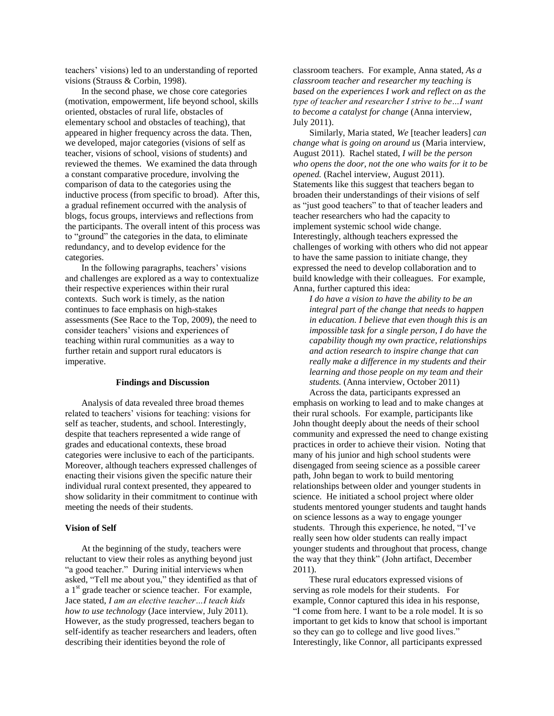teachers' visions) led to an understanding of reported visions (Strauss & Corbin, 1998).

In the second phase, we chose core categories (motivation, empowerment, life beyond school, skills oriented, obstacles of rural life, obstacles of elementary school and obstacles of teaching), that appeared in higher frequency across the data. Then, we developed, major categories (visions of self as teacher, visions of school, visions of students) and reviewed the themes. We examined the data through a constant comparative procedure, involving the comparison of data to the categories using the inductive process (from specific to broad). After this, a gradual refinement occurred with the analysis of blogs, focus groups, interviews and reflections from the participants. The overall intent of this process was to "ground" the categories in the data, to eliminate redundancy, and to develop evidence for the categories.

In the following paragraphs, teachers' visions and challenges are explored as a way to contextualize their respective experiences within their rural contexts. Such work is timely, as the nation continues to face emphasis on high-stakes assessments (See Race to the Top, 2009), the need to consider teachers' visions and experiences of teaching within rural communities as a way to further retain and support rural educators is imperative.

#### **Findings and Discussion**

Analysis of data revealed three broad themes related to teachers' visions for teaching: visions for self as teacher, students, and school. Interestingly, despite that teachers represented a wide range of grades and educational contexts, these broad categories were inclusive to each of the participants. Moreover, although teachers expressed challenges of enacting their visions given the specific nature their individual rural context presented, they appeared to show solidarity in their commitment to continue with meeting the needs of their students.

#### **Vision of Self**

At the beginning of the study, teachers were reluctant to view their roles as anything beyond just "a good teacher." During initial interviews when asked, "Tell me about you," they identified as that of a  $1<sup>st</sup>$  grade teacher or science teacher. For example, Jace stated, *I am an elective teacher…I teach kids how to use technology* (Jace interview, July 2011). However, as the study progressed, teachers began to self-identify as teacher researchers and leaders, often describing their identities beyond the role of

classroom teachers. For example, Anna stated, *As a classroom teacher and researcher my teaching is based on the experiences I work and reflect on as the type of teacher and researcher I strive to be…I want to become a catalyst for change* (Anna interview, July 2011).

Similarly, Maria stated, *We* [teacher leaders] *can change what is going on around us* (Maria interview, August 2011). Rachel stated, *I will be the person who opens the door, not the one who waits for it to be opened.* (Rachel interview, August 2011). Statements like this suggest that teachers began to broaden their understandings of their visions of self as "just good teachers" to that of teacher leaders and teacher researchers who had the capacity to implement systemic school wide change. Interestingly, although teachers expressed the challenges of working with others who did not appear to have the same passion to initiate change, they expressed the need to develop collaboration and to build knowledge with their colleagues. For example, Anna, further captured this idea:

*I do have a vision to have the ability to be an integral part of the change that needs to happen in education. I believe that even though this is an impossible task for a single person, I do have the capability though my own practice, relationships and action research to inspire change that can really make a difference in my students and their learning and those people on my team and their students.* (Anna interview, October 2011)

Across the data, participants expressed an emphasis on working to lead and to make changes at their rural schools. For example, participants like John thought deeply about the needs of their school community and expressed the need to change existing practices in order to achieve their vision. Noting that many of his junior and high school students were disengaged from seeing science as a possible career path, John began to work to build mentoring relationships between older and younger students in science. He initiated a school project where older students mentored younger students and taught hands on science lessons as a way to engage younger students. Through this experience, he noted, "I've really seen how older students can really impact younger students and throughout that process, change the way that they think" (John artifact, December 2011).

These rural educators expressed visions of serving as role models for their students. For example, Connor captured this idea in his response, "I come from here. I want to be a role model. It is so important to get kids to know that school is important so they can go to college and live good lives." Interestingly, like Connor, all participants expressed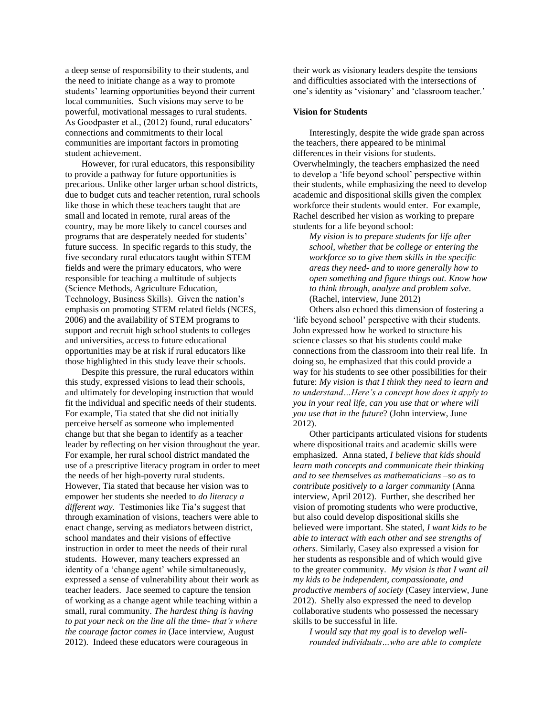a deep sense of responsibility to their students, and the need to initiate change as a way to promote students' learning opportunities beyond their current local communities. Such visions may serve to be powerful, motivational messages to rural students. As Goodpaster et al., (2012) found, rural educators' connections and commitments to their local communities are important factors in promoting student achievement.

However, for rural educators, this responsibility to provide a pathway for future opportunities is precarious. Unlike other larger urban school districts, due to budget cuts and teacher retention, rural schools like those in which these teachers taught that are small and located in remote, rural areas of the country, may be more likely to cancel courses and programs that are desperately needed for students' future success. In specific regards to this study, the five secondary rural educators taught within STEM fields and were the primary educators, who were responsible for teaching a multitude of subjects (Science Methods, Agriculture Education, Technology, Business Skills). Given the nation's emphasis on promoting STEM related fields (NCES, 2006) and the availability of STEM programs to support and recruit high school students to colleges and universities, access to future educational opportunities may be at risk if rural educators like those highlighted in this study leave their schools.

Despite this pressure, the rural educators within this study, expressed visions to lead their schools, and ultimately for developing instruction that would fit the individual and specific needs of their students. For example, Tia stated that she did not initially perceive herself as someone who implemented change but that she began to identify as a teacher leader by reflecting on her vision throughout the year. For example, her rural school district mandated the use of a prescriptive literacy program in order to meet the needs of her high-poverty rural students. However, Tia stated that because her vision was to empower her students she needed to *do literacy a different way.* Testimonies like Tia's suggest that through examination of visions, teachers were able to enact change, serving as mediators between district, school mandates and their visions of effective instruction in order to meet the needs of their rural students. However, many teachers expressed an identity of a 'change agent' while simultaneously, expressed a sense of vulnerability about their work as teacher leaders. Jace seemed to capture the tension of working as a change agent while teaching within a small, rural community. *The hardest thing is having to put your neck on the line all the time- that's where the courage factor comes in* (Jace interview, August 2012). Indeed these educators were courageous in

their work as visionary leaders despite the tensions and difficulties associated with the intersections of one's identity as 'visionary' and 'classroom teacher.'

#### **Vision for Students**

Interestingly, despite the wide grade span across the teachers, there appeared to be minimal differences in their visions for students. Overwhelmingly, the teachers emphasized the need to develop a 'life beyond school' perspective within their students, while emphasizing the need to develop academic and dispositional skills given the complex workforce their students would enter. For example, Rachel described her vision as working to prepare students for a life beyond school:

*My vision is to prepare students for life after school, whether that be college or entering the workforce so to give them skills in the specific areas they need- and to more generally how to open something and figure things out. Know how to think through, analyze and problem solve.* (Rachel, interview, June 2012)

Others also echoed this dimension of fostering a 'life beyond school' perspective with their students. John expressed how he worked to structure his science classes so that his students could make connections from the classroom into their real life. In doing so, he emphasized that this could provide a way for his students to see other possibilities for their future: *My vision is that I think they need to learn and to understand…Here's a concept how does it apply to you in your real life, can you use that or where will you use that in the future*? (John interview, June 2012).

Other participants articulated visions for students where dispositional traits and academic skills were emphasized. Anna stated, *I believe that kids should learn math concepts and communicate their thinking and to see themselves as mathematicians –so as to contribute positively to a larger community* (Anna interview, April 2012). Further, she described her vision of promoting students who were productive, but also could develop dispositional skills she believed were important. She stated, *I want kids to be able to interact with each other and see strengths of others*. Similarly, Casey also expressed a vision for her students as responsible and of which would give to the greater community. *My vision is that I want all my kids to be independent, compassionate, and productive members of society* (Casey interview, June 2012). Shelly also expressed the need to develop collaborative students who possessed the necessary skills to be successful in life.

*I would say that my goal is to develop wellrounded individuals…who are able to complete*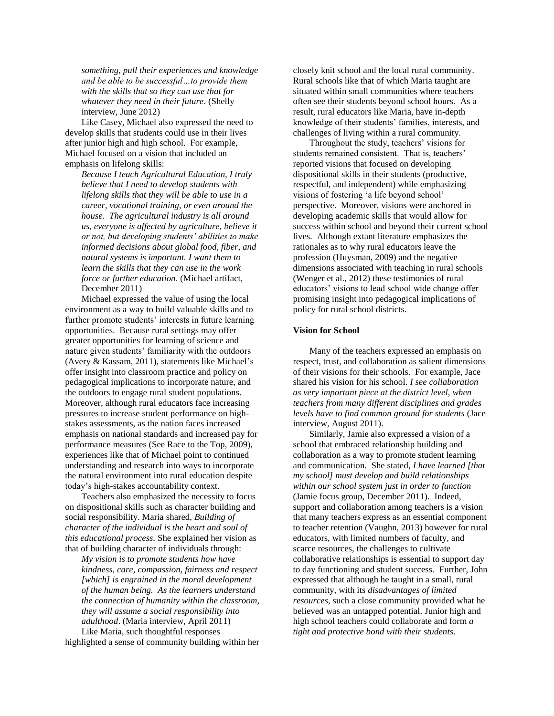*something, pull their experiences and knowledge and be able to be successful…to provide them with the skills that so they can use that for whatever they need in their future*. (Shelly interview, June 2012)

Like Casey, Michael also expressed the need to develop skills that students could use in their lives after junior high and high school. For example, Michael focused on a vision that included an emphasis on lifelong skills:

*Because I teach Agricultural Education, I truly believe that I need to develop students with lifelong skills that they will be able to use in a career, vocational training, or even around the house. The agricultural industry is all around us, everyone is affected by agriculture, believe it or not, but developing students' abilities to make informed decisions about global food, fiber, and natural systems is important. I want them to learn the skills that they can use in the work force or further education*. (Michael artifact, December 2011)

Michael expressed the value of using the local environment as a way to build valuable skills and to further promote students' interests in future learning opportunities. Because rural settings may offer greater opportunities for learning of science and nature given students' familiarity with the outdoors (Avery & Kassam, 2011), statements like Michael's offer insight into classroom practice and policy on pedagogical implications to incorporate nature, and the outdoors to engage rural student populations. Moreover, although rural educators face increasing pressures to increase student performance on highstakes assessments, as the nation faces increased emphasis on national standards and increased pay for performance measures (See Race to the Top, 2009), experiences like that of Michael point to continued understanding and research into ways to incorporate the natural environment into rural education despite today's high-stakes accountability context.

Teachers also emphasized the necessity to focus on dispositional skills such as character building and social responsibility. Maria shared, *Building of character of the individual is the heart and soul of this educational process*. She explained her vision as that of building character of individuals through:

*My vision is to promote students how have kindness, care, compassion, fairness and respect [which] is engrained in the moral development of the human being. As the learners understand the connection of humanity within the classroom, they will assume a social responsibility into adulthood*. (Maria interview, April 2011)

Like Maria, such thoughtful responses highlighted a sense of community building within her closely knit school and the local rural community. Rural schools like that of which Maria taught are situated within small communities where teachers often see their students beyond school hours. As a result, rural educators like Maria, have in-depth knowledge of their students' families, interests, and challenges of living within a rural community.

Throughout the study, teachers' visions for students remained consistent. That is, teachers' reported visions that focused on developing dispositional skills in their students (productive, respectful, and independent) while emphasizing visions of fostering 'a life beyond school' perspective. Moreover, visions were anchored in developing academic skills that would allow for success within school and beyond their current school lives. Although extant literature emphasizes the rationales as to why rural educators leave the profession (Huysman, 2009) and the negative dimensions associated with teaching in rural schools (Wenger et al., 2012) these testimonies of rural educators' visions to lead school wide change offer promising insight into pedagogical implications of policy for rural school districts.

#### **Vision for School**

Many of the teachers expressed an emphasis on respect, trust, and collaboration as salient dimensions of their visions for their schools. For example, Jace shared his vision for his school. *I see collaboration as very important piece at the district level, when teachers from many different disciplines and grades levels have to find common ground for students* (Jace interview, August 2011).

Similarly, Jamie also expressed a vision of a school that embraced relationship building and collaboration as a way to promote student learning and communication. She stated, *I have learned [that my school] must develop and build relationships within our school system just in order to function* (Jamie focus group, December 2011). Indeed, support and collaboration among teachers is a vision that many teachers express as an essential component to teacher retention (Vaughn, 2013) however for rural educators, with limited numbers of faculty, and scarce resources, the challenges to cultivate collaborative relationships is essential to support day to day functioning and student success. Further, John expressed that although he taught in a small, rural community, with its *disadvantages of limited resources*, such a close community provided what he believed was an untapped potential. Junior high and high school teachers could collaborate and form *a tight and protective bond with their students*.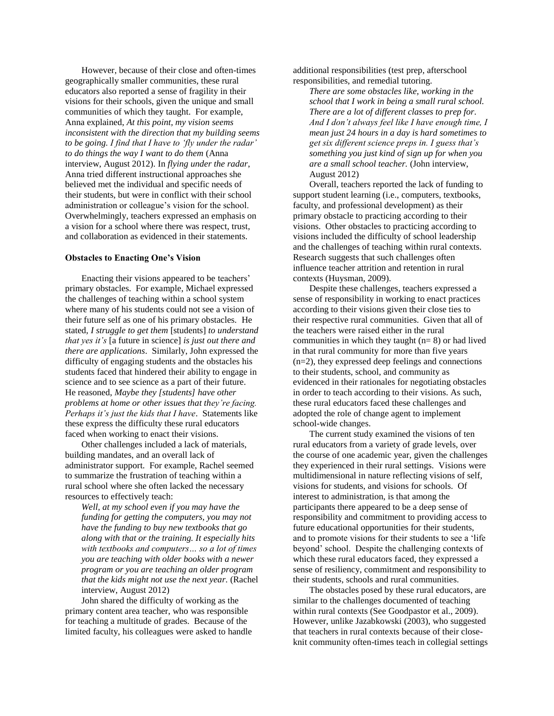However, because of their close and often-times geographically smaller communities, these rural educators also reported a sense of fragility in their visions for their schools, given the unique and small communities of which they taught. For example, Anna explained, *At this point, my vision seems inconsistent with the direction that my building seems to be going. I find that I have to 'fly under the radar' to do things the way I want to do them* (Anna interview, August 2012). In *flying under the radar*, Anna tried different instructional approaches she believed met the individual and specific needs of their students, but were in conflict with their school administration or colleague's vision for the school. Overwhelmingly, teachers expressed an emphasis on a vision for a school where there was respect, trust, and collaboration as evidenced in their statements.

#### **Obstacles to Enacting One's Vision**

Enacting their visions appeared to be teachers' primary obstacles. For example, Michael expressed the challenges of teaching within a school system where many of his students could not see a vision of their future self as one of his primary obstacles. He stated, *I struggle to get them* [students] *to understand that yes it's* [a future in science] *is just out there and there are applications*. Similarly, John expressed the difficulty of engaging students and the obstacles his students faced that hindered their ability to engage in science and to see science as a part of their future. He reasoned, *Maybe they [students] have other problems at home or other issues that they're facing. Perhaps it's just the kids that I have*. Statements like these express the difficulty these rural educators faced when working to enact their visions.

Other challenges included a lack of materials, building mandates, and an overall lack of administrator support. For example, Rachel seemed to summarize the frustration of teaching within a rural school where she often lacked the necessary resources to effectively teach:

*Well, at my school even if you may have the funding for getting the computers, you may not have the funding to buy new textbooks that go along with that or the training. It especially hits with textbooks and computers… so a lot of times you are teaching with older books with a newer program or you are teaching an older program that the kids might not use the next year.* (Rachel interview, August 2012)

John shared the difficulty of working as the primary content area teacher, who was responsible for teaching a multitude of grades. Because of the limited faculty, his colleagues were asked to handle additional responsibilities (test prep, afterschool responsibilities, and remedial tutoring.

*There are some obstacles like, working in the school that I work in being a small rural school. There are a lot of different classes to prep for. And I don't always feel like I have enough time, I mean just 24 hours in a day is hard sometimes to get six different science preps in. I guess that's something you just kind of sign up for when you are a small school teacher.* (John interview, August 2012)

Overall, teachers reported the lack of funding to support student learning (i.e., computers, textbooks, faculty, and professional development) as their primary obstacle to practicing according to their visions. Other obstacles to practicing according to visions included the difficulty of school leadership and the challenges of teaching within rural contexts. Research suggests that such challenges often influence teacher attrition and retention in rural contexts (Huysman, 2009).

Despite these challenges, teachers expressed a sense of responsibility in working to enact practices according to their visions given their close ties to their respective rural communities. Given that all of the teachers were raised either in the rural communities in which they taught (n= 8) or had lived in that rural community for more than five years (n=2), they expressed deep feelings and connections to their students, school, and community as evidenced in their rationales for negotiating obstacles in order to teach according to their visions. As such, these rural educators faced these challenges and adopted the role of change agent to implement school-wide changes.

The current study examined the visions of ten rural educators from a variety of grade levels, over the course of one academic year, given the challenges they experienced in their rural settings. Visions were multidimensional in nature reflecting visions of self, visions for students, and visions for schools. Of interest to administration, is that among the participants there appeared to be a deep sense of responsibility and commitment to providing access to future educational opportunities for their students, and to promote visions for their students to see a 'life beyond' school. Despite the challenging contexts of which these rural educators faced, they expressed a sense of resiliency, commitment and responsibility to their students, schools and rural communities.

The obstacles posed by these rural educators, are similar to the challenges documented of teaching within rural contexts (See Goodpastor et al., 2009). However, unlike Jazabkowski (2003), who suggested that teachers in rural contexts because of their closeknit community often-times teach in collegial settings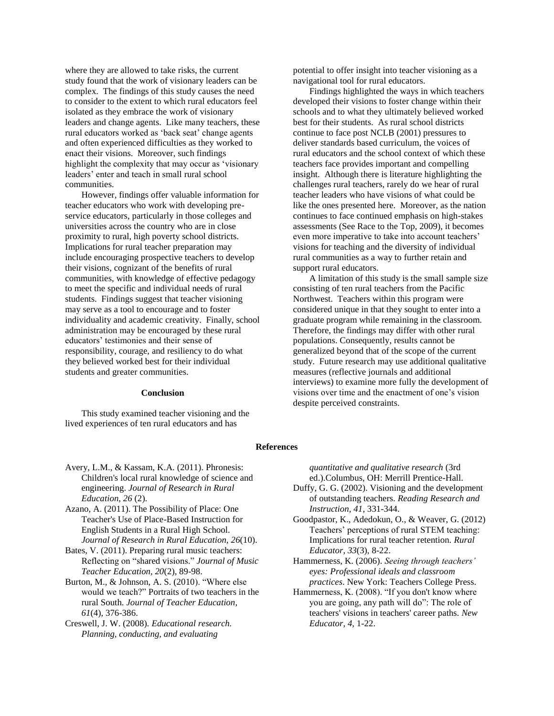where they are allowed to take risks, the current study found that the work of visionary leaders can be complex. The findings of this study causes the need to consider to the extent to which rural educators feel isolated as they embrace the work of visionary leaders and change agents. Like many teachers, these rural educators worked as 'back seat' change agents and often experienced difficulties as they worked to enact their visions. Moreover, such findings highlight the complexity that may occur as 'visionary leaders' enter and teach in small rural school communities.

However, findings offer valuable information for teacher educators who work with developing preservice educators, particularly in those colleges and universities across the country who are in close proximity to rural, high poverty school districts. Implications for rural teacher preparation may include encouraging prospective teachers to develop their visions, cognizant of the benefits of rural communities, with knowledge of effective pedagogy to meet the specific and individual needs of rural students. Findings suggest that teacher visioning may serve as a tool to encourage and to foster individuality and academic creativity. Finally, school administration may be encouraged by these rural educators' testimonies and their sense of responsibility, courage, and resiliency to do what they believed worked best for their individual students and greater communities.

#### **Conclusion**

This study examined teacher visioning and the lived experiences of ten rural educators and has

potential to offer insight into teacher visioning as a navigational tool for rural educators.

Findings highlighted the ways in which teachers developed their visions to foster change within their schools and to what they ultimately believed worked best for their students. As rural school districts continue to face post NCLB (2001) pressures to deliver standards based curriculum, the voices of rural educators and the school context of which these teachers face provides important and compelling insight. Although there is literature highlighting the challenges rural teachers, rarely do we hear of rural teacher leaders who have visions of what could be like the ones presented here. Moreover, as the nation continues to face continued emphasis on high-stakes assessments (See Race to the Top, 2009), it becomes even more imperative to take into account teachers' visions for teaching and the diversity of individual rural communities as a way to further retain and support rural educators.

A limitation of this study is the small sample size consisting of ten rural teachers from the Pacific Northwest. Teachers within this program were considered unique in that they sought to enter into a graduate program while remaining in the classroom. Therefore, the findings may differ with other rural populations. Consequently, results cannot be generalized beyond that of the scope of the current study. Future research may use additional qualitative measures (reflective journals and additional interviews) to examine more fully the development of visions over time and the enactment of one's vision despite perceived constraints.

#### **References**

Avery, L.M., & Kassam, K.A. (2011). Phronesis: Children's local rural knowledge of science and engineering. *Journal of Research in Rural Education, 26* (2).

Azano, A. (2011). The Possibility of Place: One Teacher's Use of Place-Based Instruction for English Students in a Rural High School. *Journal of Research in Rural Education, 26*(10).

Bates, V. (2011). Preparing rural music teachers: Reflecting on "shared visions." *Journal of Music Teacher Education, 20*(2), 89-98.

Burton, M., & Johnson, A. S. (2010). "Where else would we teach?" Portraits of two teachers in the rural South. *Journal of Teacher Education, 61*(4), 376-386.

Creswell, J. W. (2008). *Educational research. Planning, conducting, and evaluating* 

*quantitative and qualitative research* (3rd ed.).Columbus, OH: Merrill Prentice-Hall.

- Duffy, G. G. (2002). Visioning and the development of outstanding teachers. *Reading Research and Instruction, 41,* 331-344.
- Goodpastor, K., Adedokun, O., & Weaver, G. (2012) Teachers' perceptions of rural STEM teaching: Implications for rural teacher retention. *Rural Educator*, *33*(3), 8-22.
- Hammerness, K. (2006). *Seeing through teachers' eyes: Professional ideals and classroom practices*. New York: Teachers College Press.
- Hammerness, K. (2008). "If you don't know where you are going, any path will do": The role of teachers' visions in teachers' career paths. *New Educator*, *4*, 1-22.